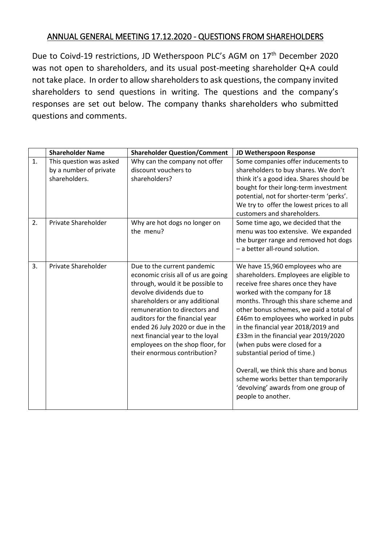## ANNUAL GENERAL MEETING 17.12.2020 - QUESTIONS FROM SHAREHOLDERS

Due to Coivd-19 restrictions, JD Wetherspoon PLC's AGM on 17<sup>th</sup> December 2020 was not open to shareholders, and its usual post-meeting shareholder Q+A could not take place. In order to allow shareholders to ask questions, the company invited shareholders to send questions in writing. The questions and the company's responses are set out below. The company thanks shareholders who submitted questions and comments.

|    | <b>Shareholder Name</b>                                            | <b>Shareholder Question/Comment</b>                                                                                                                                                                                                                                                                                                                                                  | JD Wetherspoon Response                                                                                                                                                                                                                                                                                                                                                                                                                                                                                                                                                        |
|----|--------------------------------------------------------------------|--------------------------------------------------------------------------------------------------------------------------------------------------------------------------------------------------------------------------------------------------------------------------------------------------------------------------------------------------------------------------------------|--------------------------------------------------------------------------------------------------------------------------------------------------------------------------------------------------------------------------------------------------------------------------------------------------------------------------------------------------------------------------------------------------------------------------------------------------------------------------------------------------------------------------------------------------------------------------------|
| 1. | This question was asked<br>by a number of private<br>shareholders. | Why can the company not offer<br>discount vouchers to<br>shareholders?                                                                                                                                                                                                                                                                                                               | Some companies offer inducements to<br>shareholders to buy shares. We don't<br>think it's a good idea. Shares should be<br>bought for their long-term investment<br>potential, not for shorter-term 'perks'.<br>We try to offer the lowest prices to all<br>customers and shareholders.                                                                                                                                                                                                                                                                                        |
| 2. | Private Shareholder                                                | Why are hot dogs no longer on<br>the menu?                                                                                                                                                                                                                                                                                                                                           | Some time ago, we decided that the<br>menu was too extensive. We expanded<br>the burger range and removed hot dogs<br>- a better all-round solution.                                                                                                                                                                                                                                                                                                                                                                                                                           |
| 3. | Private Shareholder                                                | Due to the current pandemic<br>economic crisis all of us are going<br>through, would it be possible to<br>devolve dividends due to<br>shareholders or any additional<br>remuneration to directors and<br>auditors for the financial year<br>ended 26 July 2020 or due in the<br>next financial year to the loyal<br>employees on the shop floor, for<br>their enormous contribution? | We have 15,960 employees who are<br>shareholders. Employees are eligible to<br>receive free shares once they have<br>worked with the company for 18<br>months. Through this share scheme and<br>other bonus schemes, we paid a total of<br>£46m to employees who worked in pubs<br>in the financial year 2018/2019 and<br>£33m in the financial year 2019/2020<br>(when pubs were closed for a<br>substantial period of time.)<br>Overall, we think this share and bonus<br>scheme works better than temporarily<br>'devolving' awards from one group of<br>people to another. |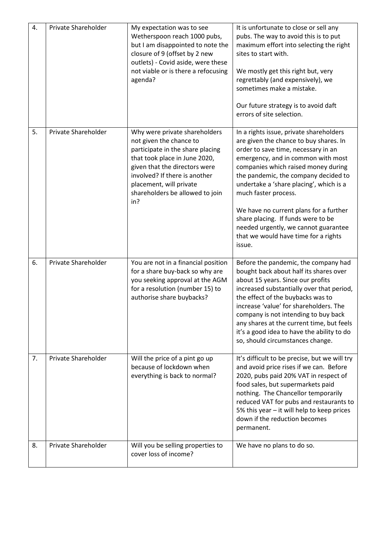| 4. | Private Shareholder | My expectation was to see<br>Wetherspoon reach 1000 pubs,<br>but I am disappointed to note the<br>closure of 9 (offset by 2 new<br>outlets) - Covid aside, were these<br>not viable or is there a refocusing<br>agenda?                                              | It is unfortunate to close or sell any<br>pubs. The way to avoid this is to put<br>maximum effort into selecting the right<br>sites to start with.<br>We mostly get this right but, very<br>regrettably (and expensively), we<br>sometimes make a mistake.<br>Our future strategy is to avoid daft<br>errors of site selection.                                                                                                                                                            |
|----|---------------------|----------------------------------------------------------------------------------------------------------------------------------------------------------------------------------------------------------------------------------------------------------------------|--------------------------------------------------------------------------------------------------------------------------------------------------------------------------------------------------------------------------------------------------------------------------------------------------------------------------------------------------------------------------------------------------------------------------------------------------------------------------------------------|
| 5. | Private Shareholder | Why were private shareholders<br>not given the chance to<br>participate in the share placing<br>that took place in June 2020,<br>given that the directors were<br>involved? If there is another<br>placement, will private<br>shareholders be allowed to join<br>in? | In a rights issue, private shareholders<br>are given the chance to buy shares. In<br>order to save time, necessary in an<br>emergency, and in common with most<br>companies which raised money during<br>the pandemic, the company decided to<br>undertake a 'share placing', which is a<br>much faster process.<br>We have no current plans for a further<br>share placing. If funds were to be<br>needed urgently, we cannot guarantee<br>that we would have time for a rights<br>issue. |
| 6. | Private Shareholder | You are not in a financial position<br>for a share buy-back so why are<br>you seeking approval at the AGM<br>for a resolution (number 15) to<br>authorise share buybacks?                                                                                            | Before the pandemic, the company had<br>bought back about half its shares over<br>about 15 years. Since our profits<br>increased substantially over that period,<br>the effect of the buybacks was to<br>increase 'value' for shareholders. The<br>company is not intending to buy back<br>any shares at the current time, but feels<br>it's a good idea to have the ability to do<br>so, should circumstances change.                                                                     |
| 7. | Private Shareholder | Will the price of a pint go up<br>because of lockdown when<br>everything is back to normal?                                                                                                                                                                          | It's difficult to be precise, but we will try<br>and avoid price rises if we can. Before<br>2020, pubs paid 20% VAT in respect of<br>food sales, but supermarkets paid<br>nothing. The Chancellor temporarily<br>reduced VAT for pubs and restaurants to<br>5% this year $-$ it will help to keep prices<br>down if the reduction becomes<br>permanent.                                                                                                                                    |
| 8. | Private Shareholder | Will you be selling properties to<br>cover loss of income?                                                                                                                                                                                                           | We have no plans to do so.                                                                                                                                                                                                                                                                                                                                                                                                                                                                 |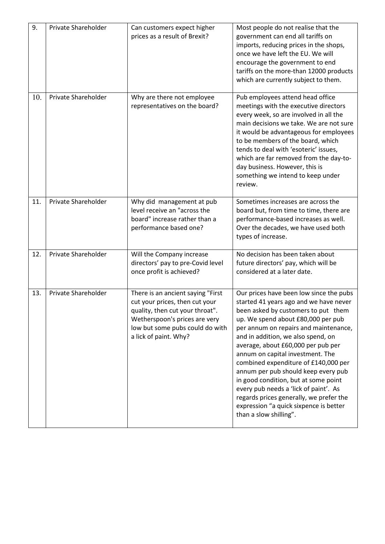| 9.  | Private Shareholder | Can customers expect higher<br>prices as a result of Brexit?                                                                                                                                        | Most people do not realise that the<br>government can end all tariffs on<br>imports, reducing prices in the shops,<br>once we have left the EU. We will<br>encourage the government to end<br>tariffs on the more-than 12000 products<br>which are currently subject to them.                                                                                                                                                                                                                                                                                                                          |
|-----|---------------------|-----------------------------------------------------------------------------------------------------------------------------------------------------------------------------------------------------|--------------------------------------------------------------------------------------------------------------------------------------------------------------------------------------------------------------------------------------------------------------------------------------------------------------------------------------------------------------------------------------------------------------------------------------------------------------------------------------------------------------------------------------------------------------------------------------------------------|
| 10. | Private Shareholder | Why are there not employee<br>representatives on the board?                                                                                                                                         | Pub employees attend head office<br>meetings with the executive directors<br>every week, so are involved in all the<br>main decisions we take. We are not sure<br>it would be advantageous for employees<br>to be members of the board, which<br>tends to deal with 'esoteric' issues,<br>which are far removed from the day-to-<br>day business. However, this is<br>something we intend to keep under<br>review.                                                                                                                                                                                     |
| 11. | Private Shareholder | Why did management at pub<br>level receive an "across the<br>board" increase rather than a<br>performance based one?                                                                                | Sometimes increases are across the<br>board but, from time to time, there are<br>performance-based increases as well.<br>Over the decades, we have used both<br>types of increase.                                                                                                                                                                                                                                                                                                                                                                                                                     |
| 12. | Private Shareholder | Will the Company increase<br>directors' pay to pre-Covid level<br>once profit is achieved?                                                                                                          | No decision has been taken about<br>future directors' pay, which will be<br>considered at a later date.                                                                                                                                                                                                                                                                                                                                                                                                                                                                                                |
| 13. | Private Shareholder | There is an ancient saying "First<br>cut your prices, then cut your<br>quality, then cut your throat".<br>Wetherspoon's prices are very<br>low but some pubs could do with<br>a lick of paint. Why? | Our prices have been low since the pubs<br>started 41 years ago and we have never<br>been asked by customers to put them<br>up. We spend about £80,000 per pub<br>per annum on repairs and maintenance,<br>and in addition, we also spend, on<br>average, about £60,000 per pub per<br>annum on capital investment. The<br>combined expenditure of £140,000 per<br>annum per pub should keep every pub<br>in good condition, but at some point<br>every pub needs a 'lick of paint'. As<br>regards prices generally, we prefer the<br>expression "a quick sixpence is better<br>than a slow shilling". |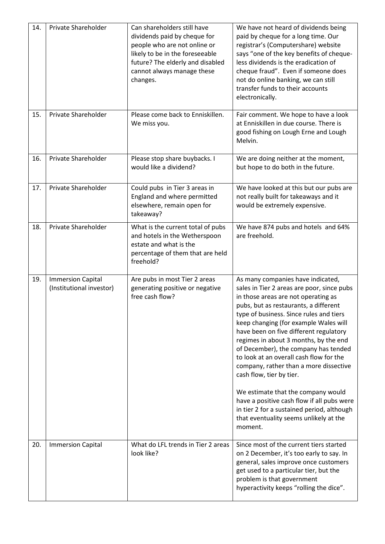| 14. | Private Shareholder                                  | Can shareholders still have<br>dividends paid by cheque for<br>people who are not online or<br>likely to be in the foreseeable<br>future? The elderly and disabled<br>cannot always manage these<br>changes. | We have not heard of dividends being<br>paid by cheque for a long time. Our<br>registrar's (Computershare) website<br>says "one of the key benefits of cheque-<br>less dividends is the eradication of<br>cheque fraud". Even if someone does<br>not do online banking, we can still<br>transfer funds to their accounts<br>electronically.                                                                                                                                                                                                                                                                                                                                            |
|-----|------------------------------------------------------|--------------------------------------------------------------------------------------------------------------------------------------------------------------------------------------------------------------|----------------------------------------------------------------------------------------------------------------------------------------------------------------------------------------------------------------------------------------------------------------------------------------------------------------------------------------------------------------------------------------------------------------------------------------------------------------------------------------------------------------------------------------------------------------------------------------------------------------------------------------------------------------------------------------|
| 15. | Private Shareholder                                  | Please come back to Enniskillen.<br>We miss you.                                                                                                                                                             | Fair comment. We hope to have a look<br>at Enniskillen in due course. There is<br>good fishing on Lough Erne and Lough<br>Melvin.                                                                                                                                                                                                                                                                                                                                                                                                                                                                                                                                                      |
| 16. | Private Shareholder                                  | Please stop share buybacks. I<br>would like a dividend?                                                                                                                                                      | We are doing neither at the moment,<br>but hope to do both in the future.                                                                                                                                                                                                                                                                                                                                                                                                                                                                                                                                                                                                              |
| 17. | Private Shareholder                                  | Could pubs in Tier 3 areas in<br>England and where permitted<br>elsewhere, remain open for<br>takeaway?                                                                                                      | We have looked at this but our pubs are<br>not really built for takeaways and it<br>would be extremely expensive.                                                                                                                                                                                                                                                                                                                                                                                                                                                                                                                                                                      |
| 18. | Private Shareholder                                  | What is the current total of pubs<br>and hotels in the Wetherspoon<br>estate and what is the<br>percentage of them that are held<br>freehold?                                                                | We have 874 pubs and hotels and 64%<br>are freehold.                                                                                                                                                                                                                                                                                                                                                                                                                                                                                                                                                                                                                                   |
| 19. | <b>Immersion Capital</b><br>(Institutional investor) | Are pubs in most Tier 2 areas<br>generating positive or negative<br>free cash flow?                                                                                                                          | As many companies have indicated,<br>sales in Tier 2 areas are poor, since pubs<br>in those areas are not operating as<br>pubs, but as restaurants, a different<br>type of business. Since rules and tiers<br>keep changing (for example Wales will<br>have been on five different regulatory<br>regimes in about 3 months, by the end<br>of December), the company has tended<br>to look at an overall cash flow for the<br>company, rather than a more dissective<br>cash flow, tier by tier.<br>We estimate that the company would<br>have a positive cash flow if all pubs were<br>in tier 2 for a sustained period, although<br>that eventuality seems unlikely at the<br>moment. |
| 20. | <b>Immersion Capital</b>                             | What do LFL trends in Tier 2 areas<br>look like?                                                                                                                                                             | Since most of the current tiers started<br>on 2 December, it's too early to say. In<br>general, sales improve once customers<br>get used to a particular tier, but the<br>problem is that government<br>hyperactivity keeps "rolling the dice".                                                                                                                                                                                                                                                                                                                                                                                                                                        |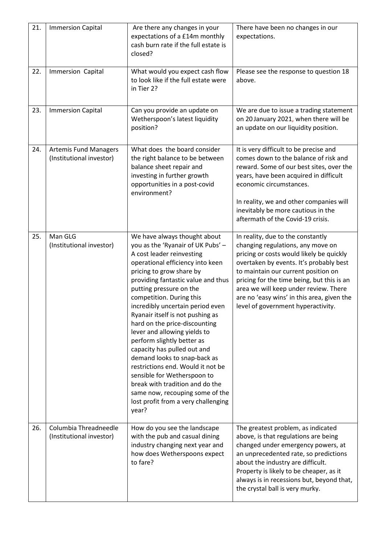| 21. | <b>Immersion Capital</b>                                 | Are there any changes in your<br>expectations of a £14m monthly<br>cash burn rate if the full estate is<br>closed?                                                                                                                                                                                                                                                                                                                                                                                                                                                                                                                                                                          | There have been no changes in our<br>expectations.                                                                                                                                                                                                                                                                                                                              |
|-----|----------------------------------------------------------|---------------------------------------------------------------------------------------------------------------------------------------------------------------------------------------------------------------------------------------------------------------------------------------------------------------------------------------------------------------------------------------------------------------------------------------------------------------------------------------------------------------------------------------------------------------------------------------------------------------------------------------------------------------------------------------------|---------------------------------------------------------------------------------------------------------------------------------------------------------------------------------------------------------------------------------------------------------------------------------------------------------------------------------------------------------------------------------|
| 22. | Immersion Capital                                        | What would you expect cash flow<br>to look like if the full estate were<br>in Tier 2?                                                                                                                                                                                                                                                                                                                                                                                                                                                                                                                                                                                                       | Please see the response to question 18<br>above.                                                                                                                                                                                                                                                                                                                                |
| 23. | <b>Immersion Capital</b>                                 | Can you provide an update on<br>Wetherspoon's latest liquidity<br>position?                                                                                                                                                                                                                                                                                                                                                                                                                                                                                                                                                                                                                 | We are due to issue a trading statement<br>on 20 January 2021, when there will be<br>an update on our liquidity position.                                                                                                                                                                                                                                                       |
| 24. | <b>Artemis Fund Managers</b><br>(Institutional investor) | What does the board consider<br>the right balance to be between<br>balance sheet repair and<br>investing in further growth<br>opportunities in a post-covid<br>environment?                                                                                                                                                                                                                                                                                                                                                                                                                                                                                                                 | It is very difficult to be precise and<br>comes down to the balance of risk and<br>reward. Some of our best sites, over the<br>years, have been acquired in difficult<br>economic circumstances.<br>In reality, we and other companies will<br>inevitably be more cautious in the<br>aftermath of the Covid-19 crisis.                                                          |
| 25. | Man GLG<br>(Institutional investor)                      | We have always thought about<br>you as the 'Ryanair of UK Pubs' -<br>A cost leader reinvesting<br>operational efficiency into keen<br>pricing to grow share by<br>providing fantastic value and thus<br>putting pressure on the<br>competition. During this<br>incredibly uncertain period even<br>Ryanair itself is not pushing as<br>hard on the price-discounting<br>lever and allowing yields to<br>perform slightly better as<br>capacity has pulled out and<br>demand looks to snap-back as<br>restrictions end. Would it not be<br>sensible for Wetherspoon to<br>break with tradition and do the<br>same now, recouping some of the<br>lost profit from a very challenging<br>year? | In reality, due to the constantly<br>changing regulations, any move on<br>pricing or costs would likely be quickly<br>overtaken by events. It's probably best<br>to maintain our current position on<br>pricing for the time being, but this is an<br>area we will keep under review. There<br>are no 'easy wins' in this area, given the<br>level of government hyperactivity. |
| 26. | Columbia Threadneedle<br>(Institutional investor)        | How do you see the landscape<br>with the pub and casual dining<br>industry changing next year and<br>how does Wetherspoons expect<br>to fare?                                                                                                                                                                                                                                                                                                                                                                                                                                                                                                                                               | The greatest problem, as indicated<br>above, is that regulations are being<br>changed under emergency powers, at<br>an unprecedented rate, so predictions<br>about the industry are difficult.<br>Property is likely to be cheaper, as it<br>always is in recessions but, beyond that,<br>the crystal ball is very murky.                                                       |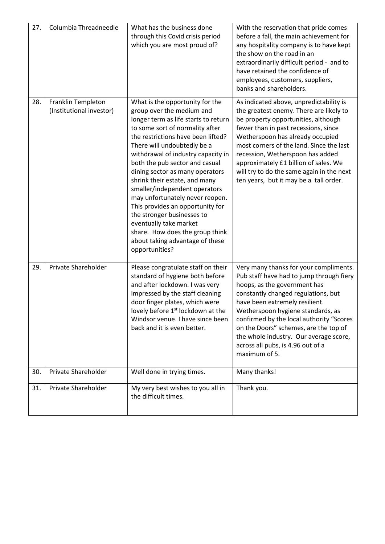| 27. | Columbia Threadneedle                          | What has the business done<br>through this Covid crisis period<br>which you are most proud of?                                                                                                                                                                                                                                                                                                                                                                                                                                                                                                                   | With the reservation that pride comes<br>before a fall, the main achievement for<br>any hospitality company is to have kept<br>the show on the road in an<br>extraordinarily difficult period - and to<br>have retained the confidence of<br>employees, customers, suppliers,<br>banks and shareholders.                                                                                                              |
|-----|------------------------------------------------|------------------------------------------------------------------------------------------------------------------------------------------------------------------------------------------------------------------------------------------------------------------------------------------------------------------------------------------------------------------------------------------------------------------------------------------------------------------------------------------------------------------------------------------------------------------------------------------------------------------|-----------------------------------------------------------------------------------------------------------------------------------------------------------------------------------------------------------------------------------------------------------------------------------------------------------------------------------------------------------------------------------------------------------------------|
| 28. | Franklin Templeton<br>(Institutional investor) | What is the opportunity for the<br>group over the medium and<br>longer term as life starts to return<br>to some sort of normality after<br>the restrictions have been lifted?<br>There will undoubtedly be a<br>withdrawal of industry capacity in<br>both the pub sector and casual<br>dining sector as many operators<br>shrink their estate, and many<br>smaller/independent operators<br>may unfortunately never reopen.<br>This provides an opportunity for<br>the stronger businesses to<br>eventually take market<br>share. How does the group think<br>about taking advantage of these<br>opportunities? | As indicated above, unpredictability is<br>the greatest enemy. There are likely to<br>be property opportunities, although<br>fewer than in past recessions, since<br>Wetherspoon has already occupied<br>most corners of the land. Since the last<br>recession, Wetherspoon has added<br>approximately £1 billion of sales. We<br>will try to do the same again in the next<br>ten years, but it may be a tall order. |
| 29. | Private Shareholder                            | Please congratulate staff on their<br>standard of hygiene both before<br>and after lockdown. I was very<br>impressed by the staff cleaning<br>door finger plates, which were<br>lovely before 1 <sup>st</sup> lockdown at the<br>Windsor venue. I have since been<br>back and it is even better.                                                                                                                                                                                                                                                                                                                 | Very many thanks for your compliments.<br>Pub staff have had to jump through fiery<br>hoops, as the government has<br>constantly changed regulations, but<br>have been extremely resilient.<br>Wetherspoon hygiene standards, as<br>confirmed by the local authority "Scores<br>on the Doors" schemes, are the top of<br>the whole industry. Our average score,<br>across all pubs, is 4.96 out of a<br>maximum of 5. |
| 30. | Private Shareholder                            | Well done in trying times.                                                                                                                                                                                                                                                                                                                                                                                                                                                                                                                                                                                       | Many thanks!                                                                                                                                                                                                                                                                                                                                                                                                          |
| 31. | Private Shareholder                            | My very best wishes to you all in<br>the difficult times.                                                                                                                                                                                                                                                                                                                                                                                                                                                                                                                                                        | Thank you.                                                                                                                                                                                                                                                                                                                                                                                                            |